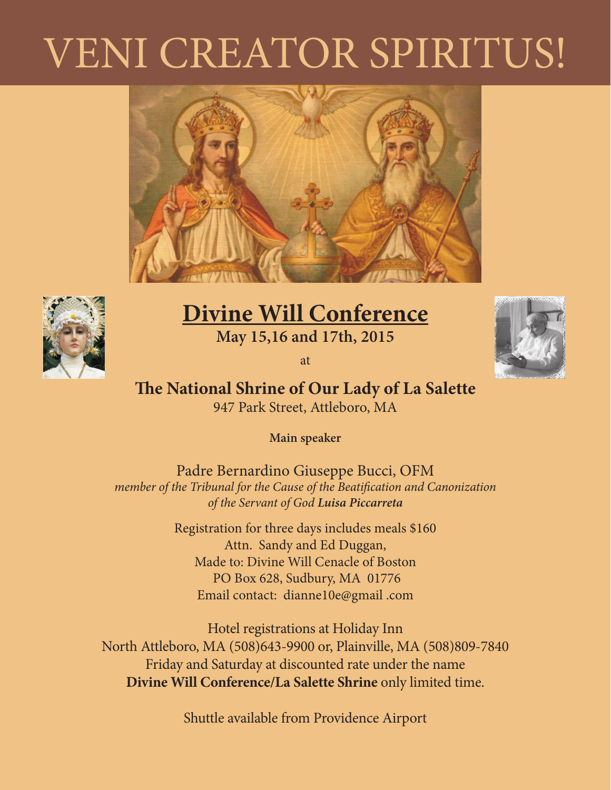# VENI CREATOR SPIRITUS!





### **Divine Will Conference May 15,16 and 17th, 2015**

at



#### **The National Shrine of Our Lady of La Salette** 947 Park Street, Attleboro, MA

**Main speaker**

Padre Bernardino Giuseppe Bucci, OFM *member of the Tribunal for the Cause of the Beatification and Canonization of the Servant of God Luisa Piccarreta* 

> Registration for three days includes meals \$160 Attn. Sandy and Ed Duggan, Made to: Divine Will Cenacle of Boston PO Box 628, Sudbury, MA 01776 Email contact: dianne10e@gmail .com

Hotel registrations at Holiday Inn North Attleboro, MA (508)643-9900 or, Plainville, MA (508)809-7840 Friday and Saturday at discounted rate under the name **Divine Will Conference/La Salette Shrine** only limited time.

Shuttle available from Providence Airport